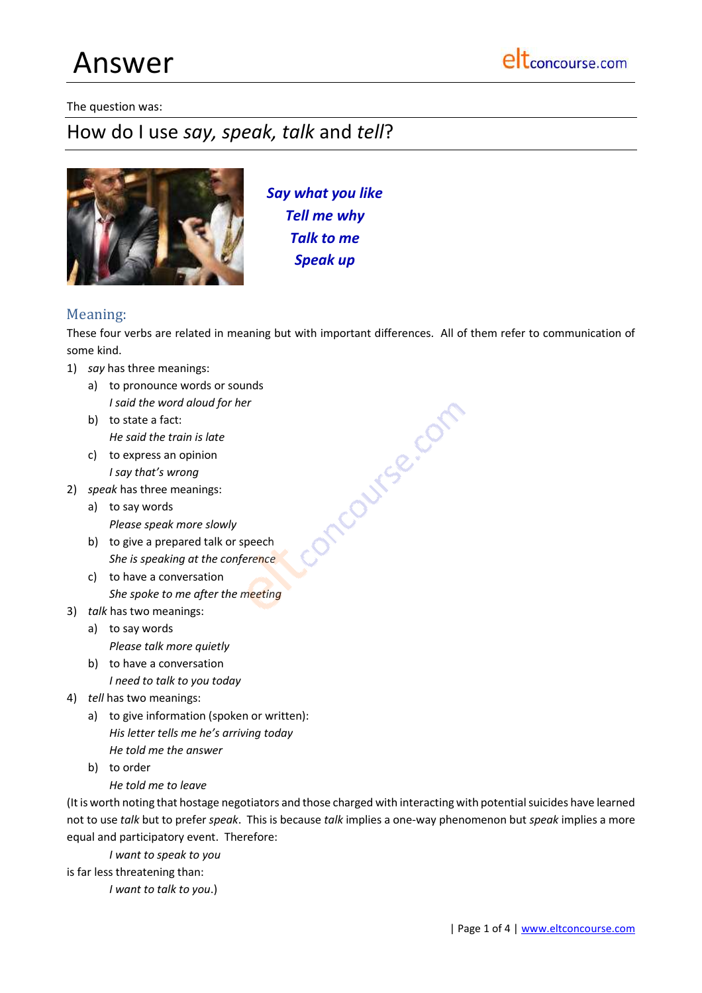# Answer

#### The question was:

# How do I use *say, speak, talk* and *tell*?



*Say what you like Tell me why Talk to me Speak up*

# Meaning:

These four verbs are related in meaning but with important differences. All of them refer to communication of some kind.

oncourse.com

- 1) *say* has three meanings:
	- a) to pronounce words or sounds *I said the word aloud for her*
	- b) to state a fact: *He said the train is late*
	- c) to express an opinion *I say that's wrong*
- 2) *speak* has three meanings:
	- a) to say words *Please speak more slowly*
	- b) to give a prepared talk or speech *She is speaking at the conference*
	- c) to have a conversation *She spoke to me after the meeting*
- 3) *talk* has two meanings:
	- a) to say words *Please talk more quietly*
	- b) to have a conversation *I need to talk to you today*
- 4) *tell* has two meanings:
	- a) to give information (spoken or written): *His letter tells me he's arriving today He told me the answer*
	- b) to order
		- *He told me to leave*

(It is worth noting that hostage negotiators and those charged with interacting with potential suicides have learned not to use *talk* but to prefer *speak*. This is because *talk* implies a one-way phenomenon but *speak* implies a more equal and participatory event. Therefore:

*I want to speak to you*

is far less threatening than:

*I want to talk to you*.)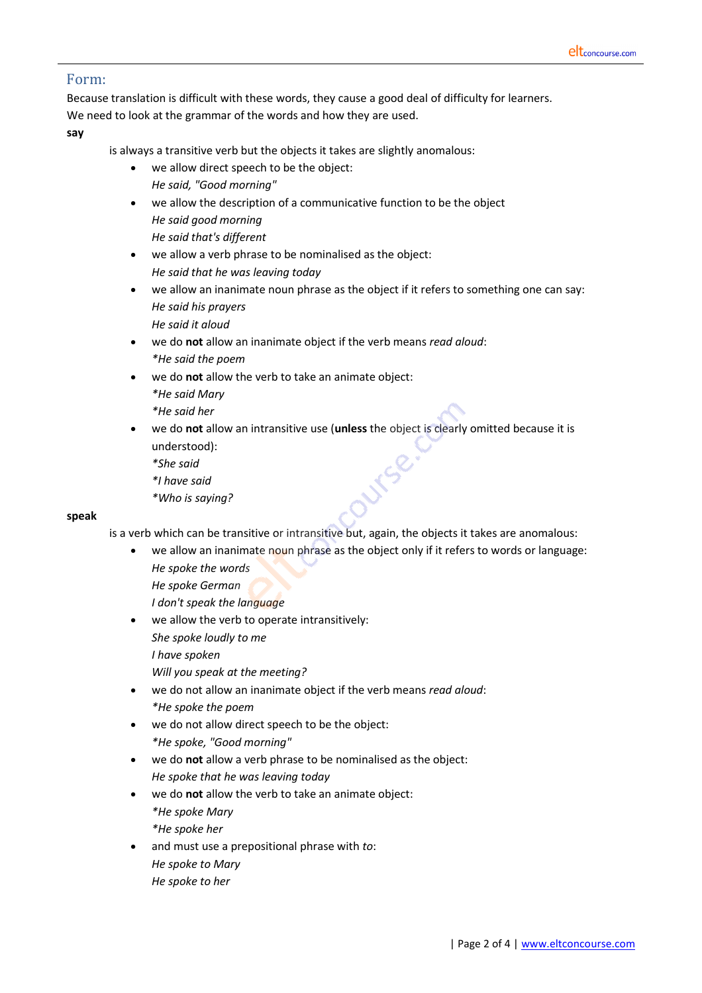# Form:

Because translation is difficult with these words, they cause a good deal of difficulty for learners. We need to look at the grammar of the words and how they are used.

**say**

is always a transitive verb but the objects it takes are slightly anomalous:

- we allow direct speech to be the object: *He said, "Good morning"*
- we allow the description of a communicative function to be the object *He said good morning He said that's different*
- we allow a verb phrase to be nominalised as the object: *He said that he was leaving today*
- we allow an inanimate noun phrase as the object if it refers to something one can say: *He said his prayers He said it aloud*
- we do **not** allow an inanimate object if the verb means *read aloud*: *\*He said the poem*
- we do **not** allow the verb to take an animate object: *\*He said Mary*
	- *\*He said her*
- we do **not** allow an intransitive use (**unless** the object is clearly omitted because it is understood):
	- *\*She said*
	- *\*I have said*
	- *\*Who is saying?*

## **speak**

is a verb which can be transitive or intransitive but, again, the objects it takes are anomalous:

- we allow an inanimate noun phrase as the object only if it refers to words or language: *He spoke the words*
	- *He spoke German*
	- *I don't speak the language*
- we allow the verb to operate intransitively:
	- *She spoke loudly to me*
	- *I have spoken*
	- *Will you speak at the meeting?*
- we do not allow an inanimate object if the verb means *read aloud*: *\*He spoke the poem*
- we do not allow direct speech to be the object: *\*He spoke, "Good morning"*
- we do **not** allow a verb phrase to be nominalised as the object: *He spoke that he was leaving today*
- we do **not** allow the verb to take an animate object: *\*He spoke Mary \*He spoke her*
- and must use a prepositional phrase with *to*: *He spoke to Mary He spoke to her*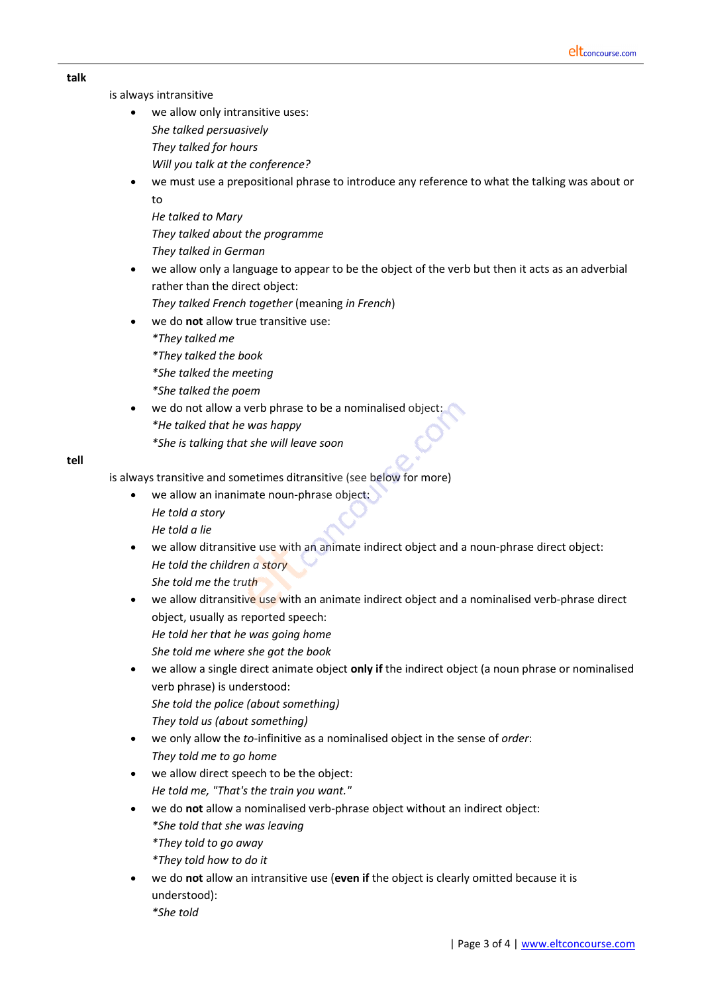#### **talk**

is always intransitive

- we allow only intransitive uses: *She talked persuasively They talked for hours Will you talk at the conference?*
- we must use a prepositional phrase to introduce any reference to what the talking was about or to
	- *He talked to Mary They talked about the programme They talked in German*
- we allow only a language to appear to be the object of the verb but then it acts as an adverbial rather than the direct object:

*They talked French together* (meaning *in French*)

- we do **not** allow true transitive use:
	- *\*They talked me*
	- *\*They talked the book*
	- *\*She talked the meeting*
	- *\*She talked the poem*
- we do not allow a verb phrase to be a nominalised object: *\*He talked that he was happy \*She is talking that she will leave soon*

## **tell**

is always transitive and sometimes ditransitive (see below for more)

- we allow an inanimate noun-phrase object: *He told a story He told a lie*
- we allow ditransitive use with an animate indirect object and a noun-phrase direct object: *He told the children a story She told me the truth*
- we allow ditransitive use with an animate indirect object and a nominalised verb-phrase direct object, usually as reported speech: *He told her that he was going home She told me where she got the book*
- we allow a single direct animate object **only if** the indirect object (a noun phrase or nominalised verb phrase) is understood: *She told the police (about something)*

*They told us (about something)*

- we only allow the *to-*infinitive as a nominalised object in the sense of *order*: *They told me to go home*
- we allow direct speech to be the object: *He told me, "That's the train you want."*
- we do **not** allow a nominalised verb-phrase object without an indirect object: *\*She told that she was leaving*
	- *\*They told to go away*
	- *\*They told how to do it*
- we do **not** allow an intransitive use (**even if** the object is clearly omitted because it is understood):
	- *\*She told*